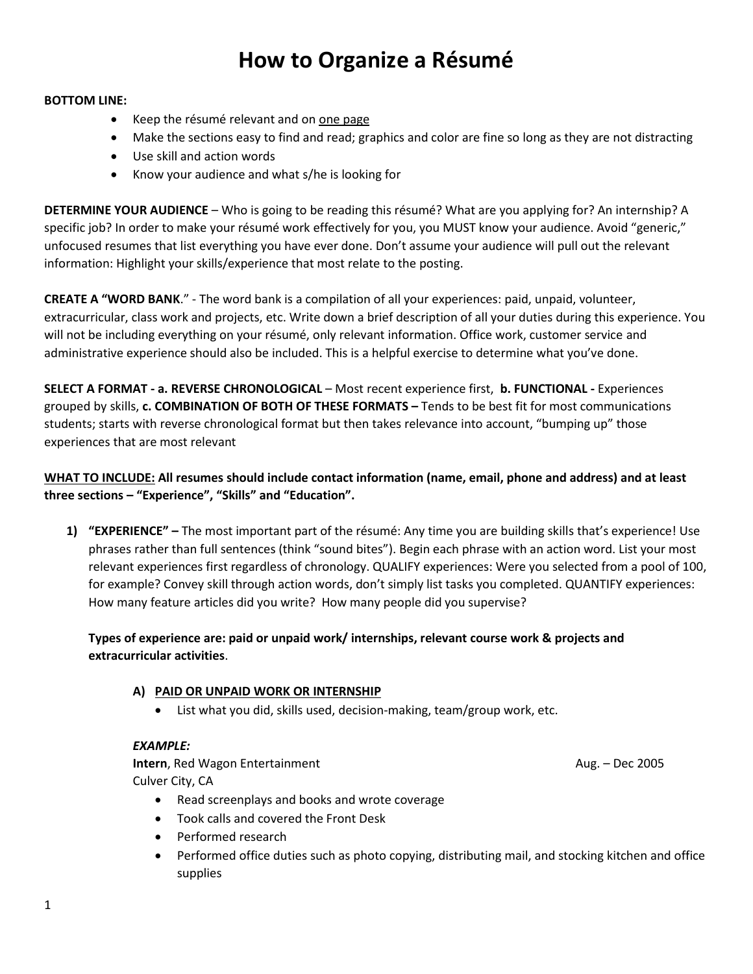# **How to Organize a Résumé**

#### **BOTTOM LINE:**

- Keep the résumé relevant and on one page
- Make the sections easy to find and read; graphics and color are fine so long as they are not distracting
- Use skill and action words
- Know your audience and what s/he is looking for

**DETERMINE YOUR AUDIENCE** – Who is going to be reading this résumé? What are you applying for? An internship? A specific job? In order to make your résumé work effectively for you, you MUST know your audience. Avoid "generic," unfocused resumes that list everything you have ever done. Don't assume your audience will pull out the relevant information: Highlight your skills/experience that most relate to the posting.

**CREATE A "WORD BANK**." - The word bank is a compilation of all your experiences: paid, unpaid, volunteer, extracurricular, class work and projects, etc. Write down a brief description of all your duties during this experience. You will not be including everything on your résumé, only relevant information. Office work, customer service and administrative experience should also be included. This is a helpful exercise to determine what you've done.

**SELECT A FORMAT - a. REVERSE CHRONOLOGICAL** – Most recent experience first, **b. FUNCTIONAL -** Experiences grouped by skills, **c. COMBINATION OF BOTH OF THESE FORMATS –** Tends to be best fit for most communications students; starts with reverse chronological format but then takes relevance into account, "bumping up" those experiences that are most relevant

## **WHAT TO INCLUDE: All resumes should include contact information (name, email, phone and address) and at least three sections – "Experience", "Skills" and "Education".**

**1) "EXPERIENCE" –** The most important part of the résumé: Any time you are building skills that's experience! Use phrases rather than full sentences (think "sound bites"). Begin each phrase with an action word. List your most relevant experiences first regardless of chronology. QUALIFY experiences: Were you selected from a pool of 100, for example? Convey skill through action words, don't simply list tasks you completed. QUANTIFY experiences: How many feature articles did you write? How many people did you supervise?

## **Types of experience are: paid or unpaid work/ internships, relevant course work & projects and extracurricular activities**.

#### **A) PAID OR UNPAID WORK OR INTERNSHIP**

List what you did, skills used, decision-making, team/group work, etc.

#### *EXAMPLE:*

**Intern**, Red Wagon Entertainment **Aug. 2005 Aug. – Dec 2005** Culver City, CA

- Read screenplays and books and wrote coverage
- Took calls and covered the Front Desk
- Performed research
- Performed office duties such as photo copying, distributing mail, and stocking kitchen and office supplies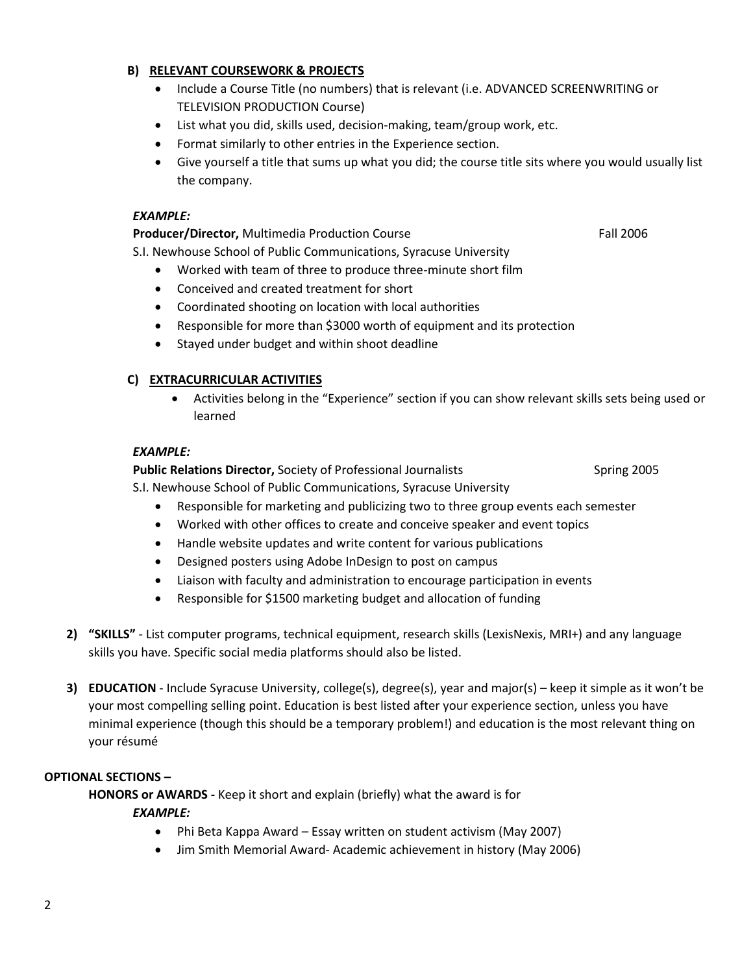### **B) RELEVANT COURSEWORK & PROJECTS**

- Include a Course Title (no numbers) that is relevant (i.e. ADVANCED SCREENWRITING or TELEVISION PRODUCTION Course)
- List what you did, skills used, decision-making, team/group work, etc.
- Format similarly to other entries in the Experience section.
- Give yourself a title that sums up what you did; the course title sits where you would usually list the company.

#### *EXAMPLE:*

**Producer/Director, Multimedia Production Course Fall 2006** Fall 2006

S.I. Newhouse School of Public Communications, Syracuse University

- Worked with team of three to produce three-minute short film
- Conceived and created treatment for short
- Coordinated shooting on location with local authorities
- Responsible for more than \$3000 worth of equipment and its protection
- Stayed under budget and within shoot deadline

## **C) EXTRACURRICULAR ACTIVITIES**

 Activities belong in the "Experience" section if you can show relevant skills sets being used or learned

## *EXAMPLE:*

**Public Relations Director,** Society of Professional Journalists Spring 2005

S.I. Newhouse School of Public Communications, Syracuse University

- Responsible for marketing and publicizing two to three group events each semester
- Worked with other offices to create and conceive speaker and event topics
- Handle website updates and write content for various publications
- Designed posters using Adobe InDesign to post on campus
- Liaison with faculty and administration to encourage participation in events
- Responsible for \$1500 marketing budget and allocation of funding
- **2) "SKILLS"** List computer programs, technical equipment, research skills (LexisNexis, MRI+) and any language skills you have. Specific social media platforms should also be listed.
- **3) EDUCATION** Include Syracuse University, college(s), degree(s), year and major(s) keep it simple as it won't be your most compelling selling point. Education is best listed after your experience section, unless you have minimal experience (though this should be a temporary problem!) and education is the most relevant thing on your résumé

## **OPTIONAL SECTIONS –**

**HONORS or AWARDS -** Keep it short and explain (briefly) what the award is for

#### *EXAMPLE:*

- Phi Beta Kappa Award Essay written on student activism (May 2007)
- Jim Smith Memorial Award- Academic achievement in history (May 2006)